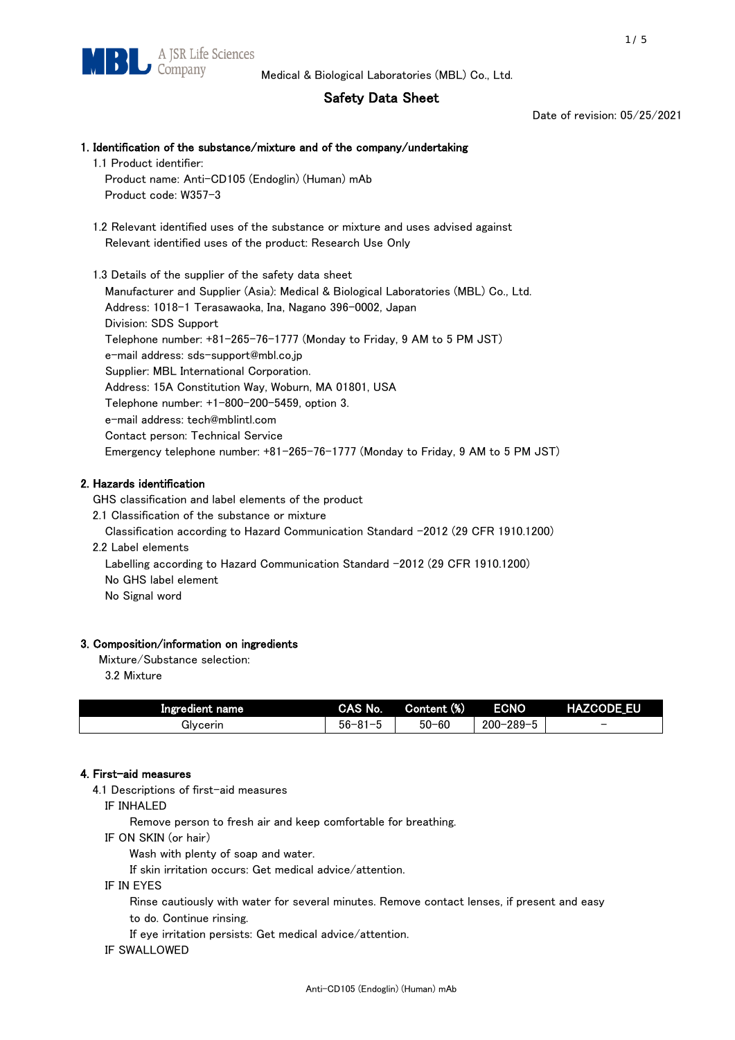# Safety Data Sheet

Date of revision: 05/25/2021

# 1. Identification of the substance/mixture and of the company/undertaking 1.1 Product identifier: Product name: Anti-CD105 (Endoglin) (Human) mAb Product code: W357-3 1.2 Relevant identified uses of the substance or mixture and uses advised against Relevant identified uses of the product: Research Use Only 1.3 Details of the supplier of the safety data sheet Manufacturer and Supplier (Asia): Medical & Biological Laboratories (MBL) Co., Ltd. Address: 1018-1 Terasawaoka, Ina, Nagano 396-0002, Japan Division: SDS Support Telephone number: +81-265-76-1777 (Monday to Friday, 9 AM to 5 PM JST) e-mail address: sds-support@mbl.co.jp Supplier: MBL International Corporation. Address: 15A Constitution Way, Woburn, MA 01801, USA Telephone number: +1-800-200-5459, option 3. e-mail address: tech@mblintl.com Contact person: Technical Service Emergency telephone number: +81-265-76-1777 (Monday to Friday, 9 AM to 5 PM JST)

## 2. Hazards identification

GHS classification and label elements of the product

2.1 Classification of the substance or mixture

Classification according to Hazard Communication Standard -2012 (29 CFR 1910.1200)

2.2 Label elements

Labelling according to Hazard Communication Standard -2012 (29 CFR 1910.1200) No GHS label element

No Signal word

## 3. Composition/information on ingredients

Mixture/Substance selection:

3.2 Mixture

| Ingredient name | CAS No.             | Content (%) | <b>ECNO</b>                                              | <b>HAZCODE_EU</b>        |
|-----------------|---------------------|-------------|----------------------------------------------------------|--------------------------|
| Glvcerin        | $56 - 81 -$<br>ິບ ເ | $50 - 60$   | $-289 - 1$<br>$200 - 2$<br>$\overline{\phantom{0}}$<br>v | $\overline{\phantom{0}}$ |

## 4. First-aid measures

4.1 Descriptions of first-aid measures

IF INHALED

Remove person to fresh air and keep comfortable for breathing.

IF ON SKIN (or hair)

Wash with plenty of soap and water.

If skin irritation occurs: Get medical advice/attention.

IF IN EYES

Rinse cautiously with water for several minutes. Remove contact lenses, if present and easy

to do. Continue rinsing.

If eye irritation persists: Get medical advice/attention.

IF SWALLOWED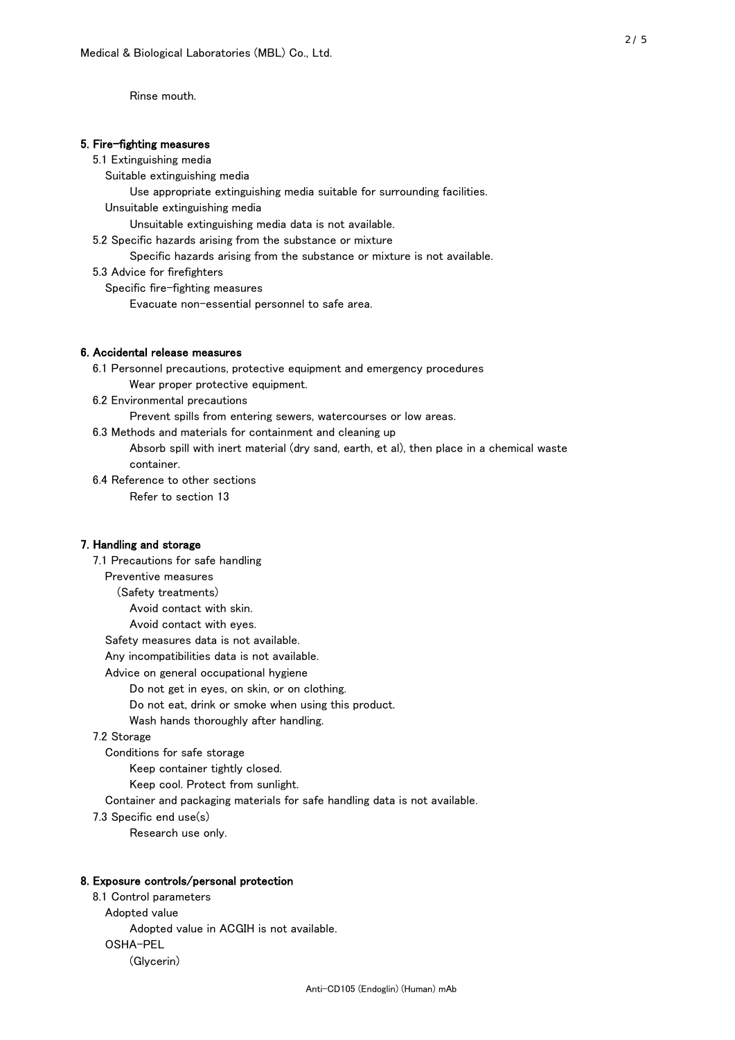Rinse mouth.

### 5. Fire-fighting measures

#### 5.1 Extinguishing media

Suitable extinguishing media

- Use appropriate extinguishing media suitable for surrounding facilities.
- Unsuitable extinguishing media

Unsuitable extinguishing media data is not available.

5.2 Specific hazards arising from the substance or mixture

Specific hazards arising from the substance or mixture is not available.

5.3 Advice for firefighters

Specific fire-fighting measures

Evacuate non-essential personnel to safe area.

#### 6. Accidental release measures

- 6.1 Personnel precautions, protective equipment and emergency procedures Wear proper protective equipment.
- 6.2 Environmental precautions

Prevent spills from entering sewers, watercourses or low areas.

6.3 Methods and materials for containment and cleaning up

- Absorb spill with inert material (dry sand, earth, et al), then place in a chemical waste container.
- 6.4 Reference to other sections

Refer to section 13

### 7. Handling and storage

 7.1 Precautions for safe handling Preventive measures (Safety treatments) Avoid contact with skin. Avoid contact with eyes. Safety measures data is not available. Any incompatibilities data is not available. Advice on general occupational hygiene Do not get in eyes, on skin, or on clothing. Do not eat, drink or smoke when using this product. Wash hands thoroughly after handling. 7.2 Storage Conditions for safe storage Keep container tightly closed.

Keep cool. Protect from sunlight.

Container and packaging materials for safe handling data is not available.

7.3 Specific end use(s)

Research use only.

#### 8. Exposure controls/personal protection

 8.1 Control parameters Adopted value Adopted value in ACGIH is not available. OSHA-PEL (Glycerin)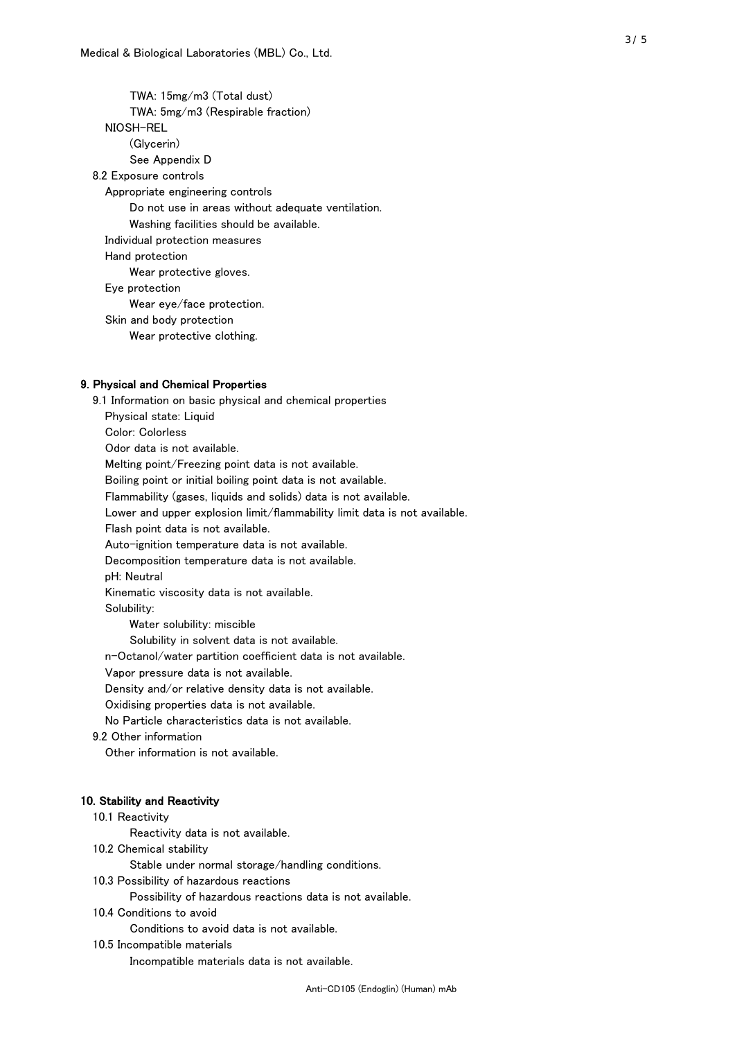TWA: 15mg/m3 (Total dust) TWA: 5mg/m3 (Respirable fraction) NIOSH-REL (Glycerin) See Appendix D 8.2 Exposure controls Appropriate engineering controls Do not use in areas without adequate ventilation. Washing facilities should be available. Individual protection measures Hand protection Wear protective gloves. Eye protection Wear eye/face protection. Skin and body protection Wear protective clothing.

## 9. Physical and Chemical Properties

 9.1 Information on basic physical and chemical properties Physical state: Liquid Color: Colorless Odor data is not available. Melting point/Freezing point data is not available. Boiling point or initial boiling point data is not available. Flammability (gases, liquids and solids) data is not available. Lower and upper explosion limit/flammability limit data is not available. Flash point data is not available. Auto-ignition temperature data is not available. Decomposition temperature data is not available. pH: Neutral Kinematic viscosity data is not available. Solubility: Water solubility: miscible Solubility in solvent data is not available. n-Octanol/water partition coefficient data is not available. Vapor pressure data is not available. Density and/or relative density data is not available. Oxidising properties data is not available. No Particle characteristics data is not available. 9.2 Other information Other information is not available. 10. Stability and Reactivity 10.1 Reactivity Reactivity data is not available. 10.2 Chemical stability

Stable under normal storage/handling conditions.

10.3 Possibility of hazardous reactions

Possibility of hazardous reactions data is not available.

10.4 Conditions to avoid

Conditions to avoid data is not available.

10.5 Incompatible materials

Incompatible materials data is not available.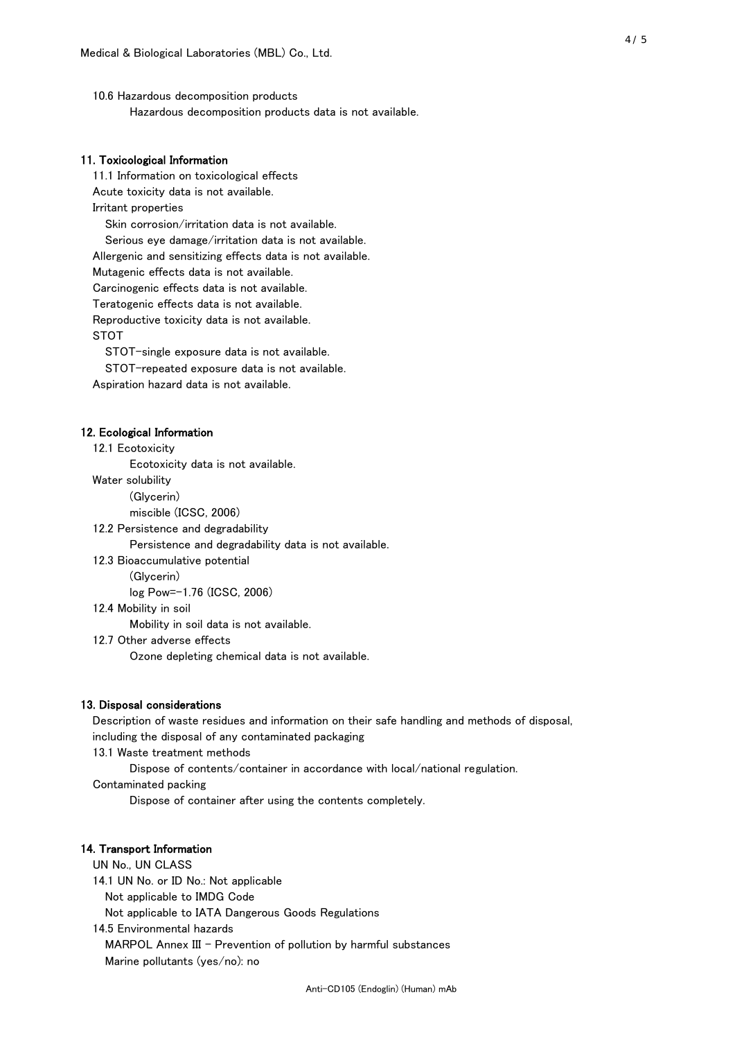10.6 Hazardous decomposition products Hazardous decomposition products data is not available.

## 11. Toxicological Information

 11.1 Information on toxicological effects Acute toxicity data is not available. Irritant properties Skin corrosion/irritation data is not available. Serious eye damage/irritation data is not available. Allergenic and sensitizing effects data is not available. Mutagenic effects data is not available. Carcinogenic effects data is not available. Teratogenic effects data is not available. Reproductive toxicity data is not available. STOT

STOT-single exposure data is not available.

STOT-repeated exposure data is not available.

Aspiration hazard data is not available.

#### 12. Ecological Information

12.1 Ecotoxicity

Ecotoxicity data is not available.

Water solubility

(Glycerin)

miscible (ICSC, 2006)

12.2 Persistence and degradability

Persistence and degradability data is not available.

12.3 Bioaccumulative potential

(Glycerin)

log Pow=-1.76 (ICSC, 2006)

12.4 Mobility in soil

Mobility in soil data is not available.

12.7 Other adverse effects

Ozone depleting chemical data is not available.

#### 13. Disposal considerations

 Description of waste residues and information on their safe handling and methods of disposal, including the disposal of any contaminated packaging

13.1 Waste treatment methods

Dispose of contents/container in accordance with local/national regulation.

Contaminated packing

Dispose of container after using the contents completely.

#### 14. Transport Information

 UN No., UN CLASS 14.1 UN No. or ID No.: Not applicable Not applicable to IMDG Code Not applicable to IATA Dangerous Goods Regulations

 14.5 Environmental hazards MARPOL Annex III - Prevention of pollution by harmful substances Marine pollutants (yes/no): no